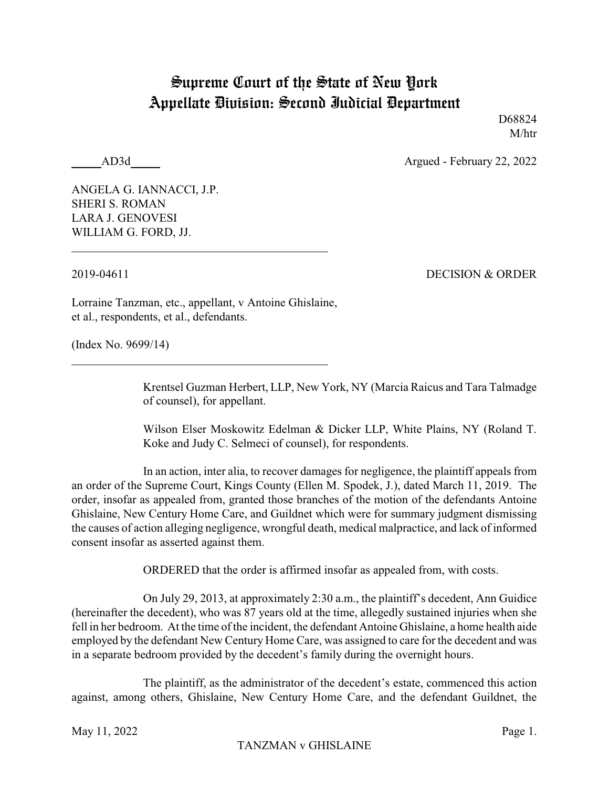## Supreme Court of the State of New York Appellate Division: Second Judicial Department

D68824 M/htr

AD3d Argued - February 22, 2022

ANGELA G. IANNACCI, J.P. SHERI S. ROMAN LARA J. GENOVESI WILLIAM G. FORD, JJ.

2019-04611 DECISION & ORDER

Lorraine Tanzman, etc., appellant, v Antoine Ghislaine, et al., respondents, et al., defendants.

(Index No. 9699/14)

Krentsel Guzman Herbert, LLP, New York, NY (Marcia Raicus and Tara Talmadge of counsel), for appellant.

Wilson Elser Moskowitz Edelman & Dicker LLP, White Plains, NY (Roland T. Koke and Judy C. Selmeci of counsel), for respondents.

In an action, inter alia, to recover damages for negligence, the plaintiff appeals from an order of the Supreme Court, Kings County (Ellen M. Spodek, J.), dated March 11, 2019. The order, insofar as appealed from, granted those branches of the motion of the defendants Antoine Ghislaine, New Century Home Care, and Guildnet which were for summary judgment dismissing the causes of action alleging negligence, wrongful death, medical malpractice, and lack of informed consent insofar as asserted against them.

ORDERED that the order is affirmed insofar as appealed from, with costs.

On July 29, 2013, at approximately 2:30 a.m., the plaintiff's decedent, Ann Guidice (hereinafter the decedent), who was 87 years old at the time, allegedly sustained injuries when she fell in her bedroom. At the time of the incident, the defendant Antoine Ghislaine, a home health aide employed by the defendant New Century Home Care, was assigned to care for the decedent and was in a separate bedroom provided by the decedent's family during the overnight hours.

The plaintiff, as the administrator of the decedent's estate, commenced this action against, among others, Ghislaine, New Century Home Care, and the defendant Guildnet, the